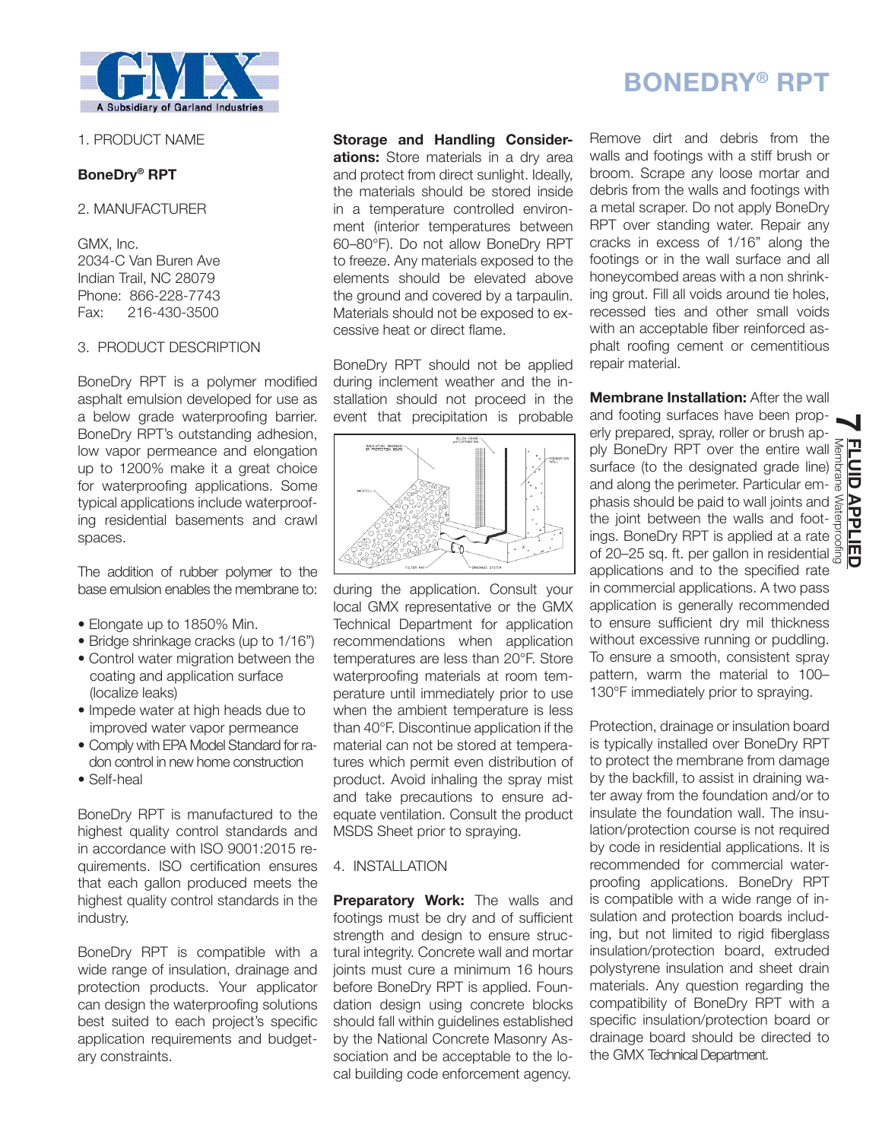

# 1. PRODUCT NAME

# **BoneDry® RPT**

2. MANUFACTURER

GMX, Inc. 2034-C Van Buren Ave Indian Trail, NC 28079 Phone: 866-228-7743 Fax: 216-430-3500

## 3. PRODUCT DESCRIPTION

BoneDry RPT is a polymer modified asphalt emulsion developed for use as a below grade waterproofing barrier. BoneDry RPT's outstanding adhesion, low vapor permeance and elongation up to 1200% make it a great choice for waterproofing applications. Some typical applications include waterproofing residential basements and crawl spaces.

The addition of rubber polymer to the base emulsion enables the membrane to:

- Elongate up to 1850% Min.
- Bridge shrinkage cracks (up to 1/16")
- Control water migration between the coating and application surface (localize leaks)
- Impede water at high heads due to improved water vapor permeance
- Comply with EPA Model Standard for radon control in new home construction
- Self-heal

BoneDry RPT is manufactured to the highest quality control standards and in accordance with ISO 9001:2015 requirements. ISO certification ensures that each gallon produced meets the highest quality control standards in the industry.

BoneDry RPT is compatible with a wide range of insulation, drainage and protection products. Your applicator can design the waterproofing solutions best suited to each project's specific application requirements and budgetary constraints.

**Storage and Handling Considerations:** Store materials in a dry area and protect from direct sunlight. Ideally, the materials should be stored inside in a temperature controlled environment (interior temperatures between 60–80°F). Do not allow BoneDry RPT to freeze. Any materials exposed to the elements should be elevated above the ground and covered by a tarpaulin. Materials should not be exposed to excessive heat or direct flame.

BoneDry RPT should not be applied during inclement weather and the installation should not proceed in the event that precipitation is probable



during the application. Consult your local GMX representative or the GMX Technical Department for application recommendations when application temperatures are less than 20°F. Store waterproofing materials at room temperature until immediately prior to use when the ambient temperature is less than 40°F. Discontinue application if the material can not be stored at temperatures which permit even distribution of product. Avoid inhaling the spray mist and take precautions to ensure adequate ventilation. Consult the product MSDS Sheet prior to spraying.

## 4. INSTALLATION

**Preparatory Work:** The walls and footings must be dry and of sufficient strength and design to ensure structural integrity. Concrete wall and mortar joints must cure a minimum 16 hours before BoneDry RPT is applied. Foundation design using concrete blocks should fall within guidelines established by the National Concrete Masonry Association and be acceptable to the local building code enforcement agency.

# **BONEDRY® RPT**

Remove dirt and debris from the walls and footings with a stiff brush or broom. Scrape any loose mortar and debris from the walls and footings with a metal scraper. Do not apply BoneDry RPT over standing water. Repair any cracks in excess of 1/16" along the footings or in the wall surface and all honeycombed areas with a non shrinking grout. Fill all voids around tie holes, recessed ties and other small voids with an acceptable fiber reinforced asphalt roofing cement or cementitious repair material.

**Membrane Installation:** After the wall

and footing surfaces have been prop-**7** erly prepared, spray, roller or brush apply BoneDry RPT over the entire wall surface (to the designated grade line) and along the perimeter. Particular emphasis should be paid to wall joints and the joint between the walls and footings. BoneDry RPT is applied at a rate ply BoneDry RPT over the entire wall server surface (to the designated grade line) since surface (to the designated grade line) and along the perimeter. Particular emphasis should be paid to wall joints and server the wall applications and to the specified rate in commercial applications. A two pass application is generally recommended to ensure sufficient dry mil thickness without excessive running or puddling. To ensure a smooth, consistent spray pattern, warm the material to 100– 130°F immediately prior to spraying.

Protection, drainage or insulation board is typically installed over BoneDry RPT to protect the membrane from damage by the backfill, to assist in draining water away from the foundation and/or to insulate the foundation wall. The insulation/protection course is not required by code in residential applications. It is recommended for commercial waterproofing applications. BoneDry RPT is compatible with a wide range of insulation and protection boards including, but not limited to rigid fiberglass insulation/protection board, extruded polystyrene insulation and sheet drain materials. Any question regarding the compatibility of BoneDry RPT with a specific insulation/protection board or drainage board should be directed to the GMX Technical Department.